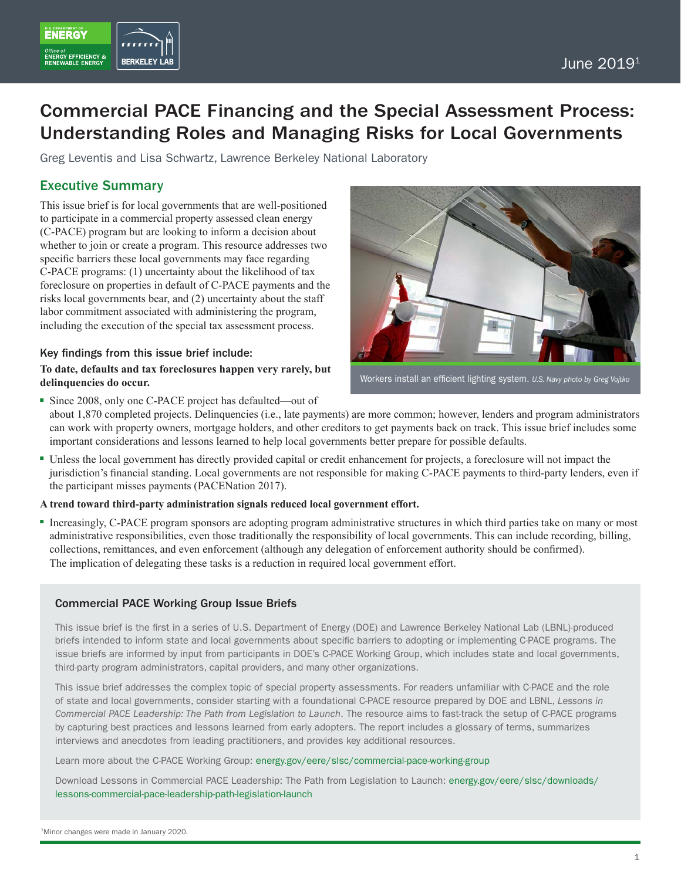

ENERGY

# **BERKELEY L**

## Commercial PACE Financing and the Special Assessment Process: Understanding Roles and Managing Risks for Local Governments

Greg Leventis and Lisa Schwartz, Lawrence Berkeley National Laboratory

## Executive Summary

This issue brief is for local governments that are well-positioned to participate in a commercial property assessed clean energy (C-PACE) program but are looking to inform a decision about whether to join or create a program. This resource addresses two specific barriers these local governments may face regarding C-PACE programs: (1) uncertainty about the likelihood of tax foreclosure on properties in default of C-PACE payments and the risks local governments bear, and (2) uncertainty about the staff labor commitment associated with administering the program, including the execution of the special tax assessment process.

## Key findings from this issue brief include:

#### **To date, defaults and tax foreclosures happen very rarely, but delinquencies do occur.**



Workers install an efficient lighting system. *U.S. Navy photo by Greg Vojtko*

- Since 2008, only one C-PACE project has defaulted—out of about 1,870 completed projects. Delinquencies (i.e., late payments) are more common; however, lenders and program administrators can work with property owners, mortgage holders, and other creditors to get payments back on track. This issue brief includes some important considerations and lessons learned to help local governments better prepare for possible defaults.
- Unless the local government has directly provided capital or credit enhancement for projects, a foreclosure will not impact the jurisdiction's financial standing. Local governments are not responsible for making C-PACE payments to third-party lenders, even if the participant misses payments (PACENation 2017).

#### **A trend toward third-party administration signals reduced local government effort.**

■ Increasingly, C-PACE program sponsors are adopting program administrative structures in which third parties take on many or most administrative responsibilities, even those traditionally the responsibility of local governments. This can include recording, billing, collections, remittances, and even enforcement (although any delegation of enforcement authority should be confirmed). The implication of delegating these tasks is a reduction in required local government effort.

## Commercial PACE Working Group Issue Briefs

This issue brief is the first in a series of U.S. Department of Energy (DOE) and Lawrence Berkeley National Lab (LBNL)-produced briefs intended to inform state and local governments about specific barriers to adopting or implementing C-PACE programs. The issue briefs are informed by input from participants in DOE's C-PACE Working Group, which includes state and local governments, third-party program administrators, capital providers, and many other organizations.

This issue brief addresses the complex topic of special property assessments. For readers unfamiliar with C-PACE and the role of state and local governments, consider starting with a foundational C-PACE resource prepared by DOE and LBNL, *Lessons in Commercial PACE Leadership: The Path from Legislation to Launch*. The resource aims to fast-track the setup of C-PACE programs by capturing best practices and lessons learned from early adopters. The report includes a glossary of terms, summarizes interviews and anecdotes from leading practitioners, and provides key additional resources.

Learn more about the C-PACE Working Group: [energy.gov/eere/slsc/commercial-pace-working-group](http://energy.gov/eere/slsc/commercial-pace-working-group)

Download Lessons in Commercial PACE Leadership: The Path from Legislation to Launch: [energy.gov/eere/slsc/downloads/](http://energy.gov/eere/slsc/downloads/lessons-commercial-pace-leadership-path-legislation-launch) [lessons-commercial-pace-leadership-path-legislation-launch](http://energy.gov/eere/slsc/downloads/lessons-commercial-pace-leadership-path-legislation-launch)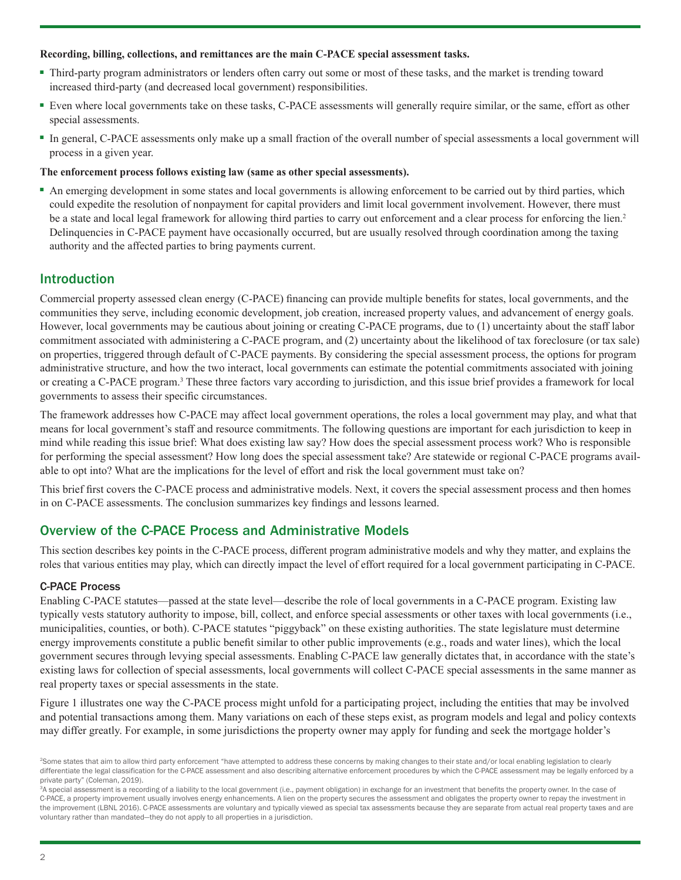#### **Recording, billing, collections, and remittances are the main C-PACE special assessment tasks.**

- Third-party program administrators or lenders often carry out some or most of these tasks, and the market is trending toward increased third-party (and decreased local government) responsibilities.
- Even where local governments take on these tasks, C-PACE assessments will generally require similar, or the same, effort as other special assessments.
- In general, C-PACE assessments only make up a small fraction of the overall number of special assessments a local government will process in a given year.

#### **The enforcement process follows existing law (same as other special assessments).**

■ An emerging development in some states and local governments is allowing enforcement to be carried out by third parties, which could expedite the resolution of nonpayment for capital providers and limit local government involvement. However, there must be a state and local legal framework for allowing third parties to carry out enforcement and a clear process for enforcing the lien.<sup>2</sup> Delinquencies in C-PACE payment have occasionally occurred, but are usually resolved through coordination among the taxing authority and the affected parties to bring payments current.

## Introduction

Commercial property assessed clean energy (C-PACE) financing can provide multiple benefits for states, local governments, and the communities they serve, including economic development, job creation, increased property values, and advancement of energy goals. However, local governments may be cautious about joining or creating C-PACE programs, due to (1) uncertainty about the staff labor commitment associated with administering a C-PACE program, and (2) uncertainty about the likelihood of tax foreclosure (or tax sale) on properties, triggered through default of C-PACE payments. By considering the special assessment process, the options for program administrative structure, and how the two interact, local governments can estimate the potential commitments associated with joining or creating a C-PACE program.<sup>3</sup> These three factors vary according to jurisdiction, and this issue brief provides a framework for local governments to assess their specific circumstances.

The framework addresses how C-PACE may affect local government operations, the roles a local government may play, and what that means for local government's staff and resource commitments. The following questions are important for each jurisdiction to keep in mind while reading this issue brief: What does existing law say? How does the special assessment process work? Who is responsible for performing the special assessment? How long does the special assessment take? Are statewide or regional C-PACE programs available to opt into? What are the implications for the level of effort and risk the local government must take on?

This brief first covers the C-PACE process and administrative models. Next, it covers the special assessment process and then homes in on C-PACE assessments. The conclusion summarizes key findings and lessons learned.

## Overview of the C-PACE Process and Administrative Models

This section describes key points in the C-PACE process, different program administrative models and why they matter, and explains the roles that various entities may play, which can directly impact the level of effort required for a local government participating in C-PACE.

#### C-PACE Process

Enabling C-PACE statutes—passed at the state level—describe the role of local governments in a C-PACE program. Existing law typically vests statutory authority to impose, bill, collect, and enforce special assessments or other taxes with local governments (i.e., municipalities, counties, or both). C-PACE statutes "piggyback" on these existing authorities. The state legislature must determine energy improvements constitute a public benefit similar to other public improvements (e.g., roads and water lines), which the local government secures through levying special assessments. Enabling C-PACE law generally dictates that, in accordance with the state's existing laws for collection of special assessments, local governments will collect C-PACE special assessments in the same manner as real property taxes or special assessments in the state.

Figure 1 illustrates one way the C-PACE process might unfold for a participating project, including the entities that may be involved and potential transactions among them. Many variations on each of these steps exist, as program models and legal and policy contexts may differ greatly. For example, in some jurisdictions the property owner may apply for funding and seek the mortgage holder's

<sup>&</sup>lt;sup>2</sup>Some states that aim to allow third party enforcement "have attempted to address these concerns by making changes to their state and/or local enabling legislation to clearly differentiate the legal classification for the C-PACE assessment and also describing alternative enforcement procedures by which the C-PACE assessment may be legally enforced by a private party" (Coleman, 2019).

<sup>&</sup>lt;sup>3</sup>A special assessment is a recording of a liability to the local government (i.e., payment obligation) in exchange for an investment that benefits the property owner. In the case of C-PACE, a property improvement usually involves energy enhancements. A lien on the property secures the assessment and obligates the property owner to repay the investment in the improvement (LBNL 2016). C-PACE assessments are voluntary and typically viewed as special tax assessments because they are separate from actual real property taxes and are voluntary rather than mandated—they do not apply to all properties in a jurisdiction.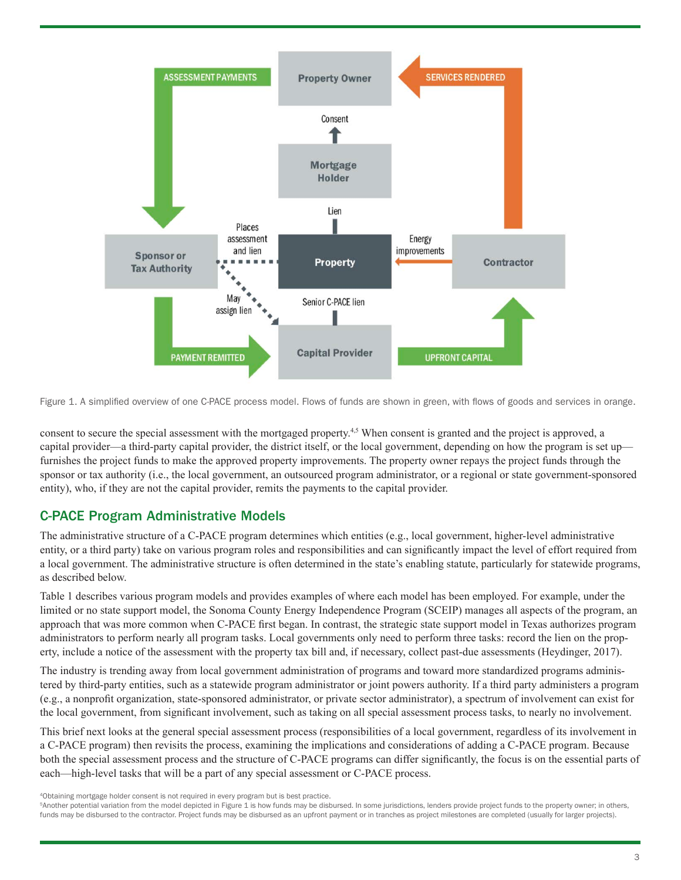

Figure 1. A simplified overview of one C-PACE process model. Flows of funds are shown in green, with flows of goods and services in orange.

consent to secure the special assessment with the mortgaged property.4,5 When consent is granted and the project is approved, a capital provider—a third-party capital provider, the district itself, or the local government, depending on how the program is set up furnishes the project funds to make the approved property improvements. The property owner repays the project funds through the sponsor or tax authority (i.e., the local government, an outsourced program administrator, or a regional or state government-sponsored entity), who, if they are not the capital provider, remits the payments to the capital provider.

## C-PACE Program Administrative Models

The administrative structure of a C-PACE program determines which entities (e.g., local government, higher-level administrative entity, or a third party) take on various program roles and responsibilities and can significantly impact the level of effort required from a local government. The administrative structure is often determined in the state's enabling statute, particularly for statewide programs, as described below.

Table 1 describes various program models and provides examples of where each model has been employed. For example, under the limited or no state support model, the Sonoma County Energy Independence Program (SCEIP) manages all aspects of the program, an approach that was more common when C-PACE first began. In contrast, the strategic state support model in Texas authorizes program administrators to perform nearly all program tasks. Local governments only need to perform three tasks: record the lien on the property, include a notice of the assessment with the property tax bill and, if necessary, collect past-due assessments (Heydinger, 2017).

The industry is trending away from local government administration of programs and toward more standardized programs administered by third-party entities, such as a statewide program administrator or joint powers authority. If a third party administers a program (e.g., a nonprofit organization, state-sponsored administrator, or private sector administrator), a spectrum of involvement can exist for the local government, from significant involvement, such as taking on all special assessment process tasks, to nearly no involvement.

This brief next looks at the general special assessment process (responsibilities of a local government, regardless of its involvement in a C-PACE program) then revisits the process, examining the implications and considerations of adding a C-PACE program. Because both the special assessment process and the structure of C-PACE programs can differ significantly, the focus is on the essential parts of each—high-level tasks that will be a part of any special assessment or C-PACE process.

4Obtaining mortgage holder consent is not required in every program but is best practice.

<sup>5</sup>Another potential variation from the model depicted in Figure 1 is how funds may be disbursed. In some jurisdictions, lenders provide project funds to the property owner; in others, funds may be disbursed to the contractor. Project funds may be disbursed as an upfront payment or in tranches as project milestones are completed (usually for larger projects).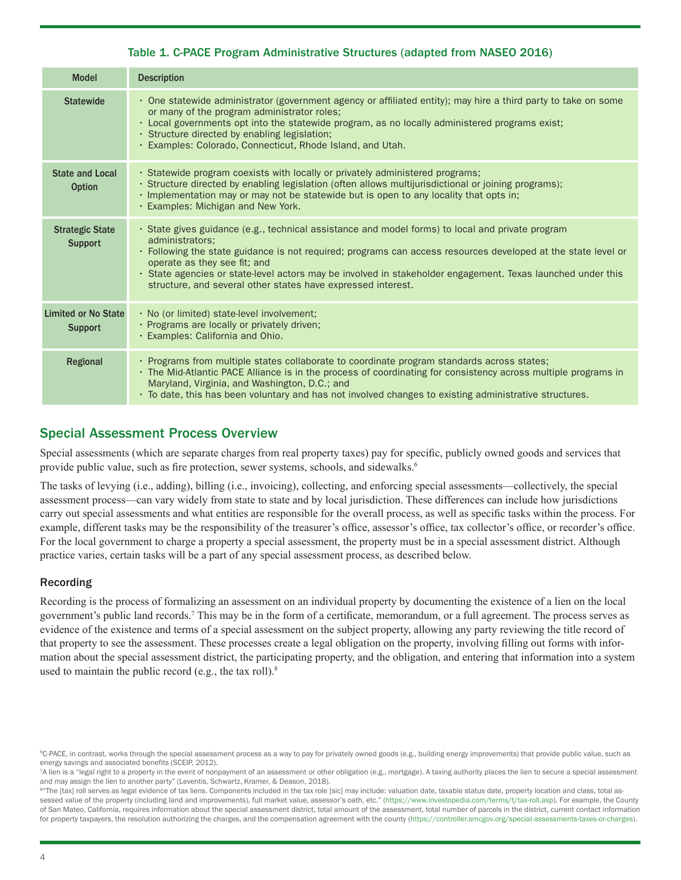## Table 1. C-PACE Program Administrative Structures (adapted from NASEO 2016)

| <b>Model</b>                             | <b>Description</b>                                                                                                                                                                                                                                                                                                                                                                                                                                  |
|------------------------------------------|-----------------------------------------------------------------------------------------------------------------------------------------------------------------------------------------------------------------------------------------------------------------------------------------------------------------------------------------------------------------------------------------------------------------------------------------------------|
| <b>Statewide</b>                         | · One statewide administrator (government agency or affiliated entity); may hire a third party to take on some<br>or many of the program administrator roles;<br>. Local governments opt into the statewide program, as no locally administered programs exist;<br>· Structure directed by enabling legislation;<br>· Examples: Colorado, Connecticut, Rhode Island, and Utah.                                                                      |
| <b>State and Local</b><br><b>Option</b>  | · Statewide program coexists with locally or privately administered programs;<br>· Structure directed by enabling legislation (often allows multijurisdictional or joining programs);<br>· Implementation may or may not be statewide but is open to any locality that opts in;<br>· Examples: Michigan and New York.                                                                                                                               |
| <b>Strategic State</b><br><b>Support</b> | · State gives guidance (e.g., technical assistance and model forms) to local and private program<br>administrators:<br>• Following the state guidance is not required; programs can access resources developed at the state level or<br>operate as they see fit; and<br>· State agencies or state-level actors may be involved in stakeholder engagement. Texas launched under this<br>structure, and several other states have expressed interest. |
| Limited or No State<br><b>Support</b>    | · No (or limited) state-level involvement;<br>· Programs are locally or privately driven;<br>· Examples: California and Ohio.                                                                                                                                                                                                                                                                                                                       |
| Regional                                 | · Programs from multiple states collaborate to coordinate program standards across states;<br>. The Mid-Atlantic PACE Alliance is in the process of coordinating for consistency across multiple programs in<br>Maryland, Virginia, and Washington, D.C.; and<br>• To date, this has been voluntary and has not involved changes to existing administrative structures.                                                                             |

## Special Assessment Process Overview

Special assessments (which are separate charges from real property taxes) pay for specific, publicly owned goods and services that provide public value, such as fire protection, sewer systems, schools, and sidewalks.<sup>6</sup>

The tasks of levying (i.e., adding), billing (i.e., invoicing), collecting, and enforcing special assessments—collectively, the special assessment process—can vary widely from state to state and by local jurisdiction. These differences can include how jurisdictions carry out special assessments and what entities are responsible for the overall process, as well as specific tasks within the process. For example, different tasks may be the responsibility of the treasurer's office, assessor's office, tax collector's office, or recorder's office. For the local government to charge a property a special assessment, the property must be in a special assessment district. Although practice varies, certain tasks will be a part of any special assessment process, as described below.

#### Recording

Recording is the process of formalizing an assessment on an individual property by documenting the existence of a lien on the local government's public land records.<sup>7</sup> This may be in the form of a certificate, memorandum, or a full agreement. The process serves as evidence of the existence and terms of a special assessment on the subject property, allowing any party reviewing the title record of that property to see the assessment. These processes create a legal obligation on the property, involving filling out forms with information about the special assessment district, the participating property, and the obligation, and entering that information into a system used to maintain the public record (e.g., the tax roll). $8$ 

<sup>&</sup>lt;sup>6</sup>C-PACE, in contrast, works through the special assessment process as a way to pay for privately owned goods (e.g., building energy improvements) that provide public value, such as energy savings and associated benefits (SCEIP, 2012).

<sup>7</sup>A lien is a "legal right to a property in the event of nonpayment of an assessment or other obligation (e.g., mortgage). A taxing authority places the lien to secure a special assessment and may assign the lien to another party" (Leventis, Schwartz, Kramer, & Deason, 2018).

<sup>8&</sup>quot;The [tax] roll serves as legal evidence of tax liens. Components included in the tax role [sic] may include: valuation date, taxable status date, property location and class, total assessed value of the property (including land and improvements), full market value, assessor's oath, etc." ([https://www.investopedia.com/terms/t/tax-roll.asp\)](https://www.investopedia.com/terms/t/tax-roll.asp). For example, the County of San Mateo, California, requires information about the special assessment district, total amount of the assessment, total number of parcels in the district, current contact information for property taxpayers, the resolution authorizing the charges, and the compensation agreement with the county [\(https://controller.smcgov.org/special-assessments-taxes-or-charges](https://controller.smcgov.org/special-assessments-taxes-or-charges)).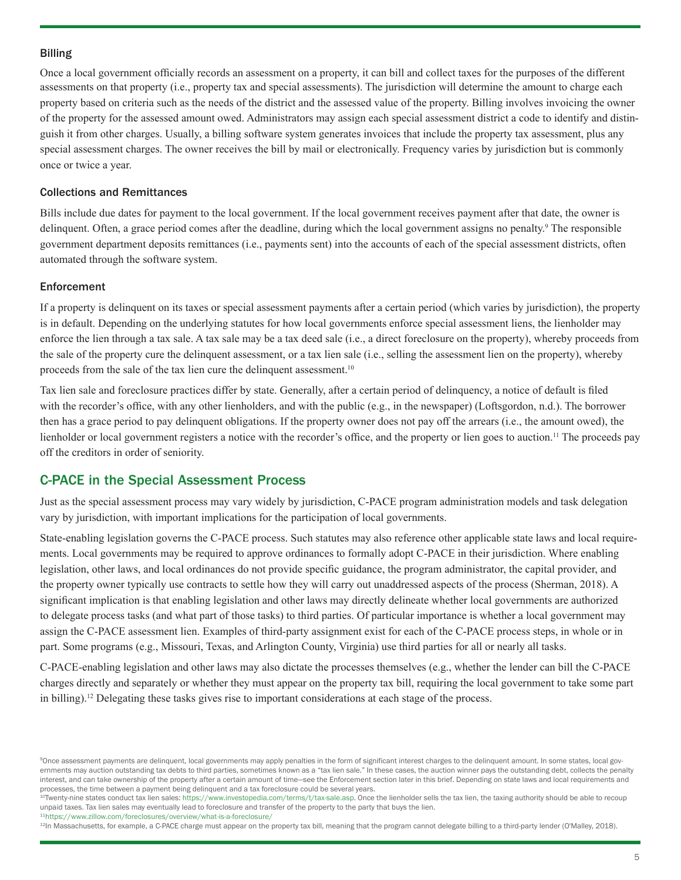#### Billing

Once a local government officially records an assessment on a property, it can bill and collect taxes for the purposes of the different assessments on that property (i.e., property tax and special assessments). The jurisdiction will determine the amount to charge each property based on criteria such as the needs of the district and the assessed value of the property. Billing involves invoicing the owner of the property for the assessed amount owed. Administrators may assign each special assessment district a code to identify and distinguish it from other charges. Usually, a billing software system generates invoices that include the property tax assessment, plus any special assessment charges. The owner receives the bill by mail or electronically. Frequency varies by jurisdiction but is commonly once or twice a year.

#### Collections and Remittances

Bills include due dates for payment to the local government. If the local government receives payment after that date, the owner is delinquent. Often, a grace period comes after the deadline, during which the local government assigns no penalty.<sup>9</sup> The responsible government department deposits remittances (i.e., payments sent) into the accounts of each of the special assessment districts, often automated through the software system.

#### Enforcement

If a property is delinquent on its taxes or special assessment payments after a certain period (which varies by jurisdiction), the property is in default. Depending on the underlying statutes for how local governments enforce special assessment liens, the lienholder may enforce the lien through a tax sale. A tax sale may be a tax deed sale (i.e., a direct foreclosure on the property), whereby proceeds from the sale of the property cure the delinquent assessment, or a tax lien sale (i.e., selling the assessment lien on the property), whereby proceeds from the sale of the tax lien cure the delinquent assessment.10

Tax lien sale and foreclosure practices differ by state. Generally, after a certain period of delinquency, a notice of default is filed with the recorder's office, with any other lienholders, and with the public (e.g., in the newspaper) (Loftsgordon, n.d.). The borrower then has a grace period to pay delinquent obligations. If the property owner does not pay off the arrears (i.e., the amount owed), the lienholder or local government registers a notice with the recorder's office, and the property or lien goes to auction.<sup>11</sup> The proceeds pay off the creditors in order of seniority.

### C-PACE in the Special Assessment Process

Just as the special assessment process may vary widely by jurisdiction, C-PACE program administration models and task delegation vary by jurisdiction, with important implications for the participation of local governments.

State-enabling legislation governs the C-PACE process. Such statutes may also reference other applicable state laws and local requirements. Local governments may be required to approve ordinances to formally adopt C-PACE in their jurisdiction. Where enabling legislation, other laws, and local ordinances do not provide specific guidance, the program administrator, the capital provider, and the property owner typically use contracts to settle how they will carry out unaddressed aspects of the process (Sherman, 2018). A significant implication is that enabling legislation and other laws may directly delineate whether local governments are authorized to delegate process tasks (and what part of those tasks) to third parties. Of particular importance is whether a local government may assign the C-PACE assessment lien. Examples of third-party assignment exist for each of the C-PACE process steps, in whole or in part. Some programs (e.g., Missouri, Texas, and Arlington County, Virginia) use third parties for all or nearly all tasks.

C-PACE-enabling legislation and other laws may also dictate the processes themselves (e.g., whether the lender can bill the C-PACE charges directly and separately or whether they must appear on the property tax bill, requiring the local government to take some part in billing).12 Delegating these tasks gives rise to important considerations at each stage of the process.

<sup>10</sup>Twenty-nine states conduct tax lien sales:<https://www.investopedia.com/terms/t/tax-sale.asp>. Once the lienholder sells the tax lien, the taxing authority should be able to recoup unpaid taxes. Tax lien sales may eventually lead to foreclosure and transfer of the property to the party that buys the lien.

11<https://www.zillow.com/foreclosures/overview/what-is-a-foreclosure/>

<sup>12</sup>In Massachusetts, for example, a C-PACE charge must appear on the property tax bill, meaning that the program cannot delegate billing to a third-party lender (O'Malley, 2018).

<sup>9</sup>Once assessment payments are delinquent, local governments may apply penalties in the form of significant interest charges to the delinquent amount. In some states, local governments may auction outstanding tax debts to third parties, sometimes known as a "tax lien sale." In these cases, the auction winner pays the outstanding debt, collects the penalty interest, and can take ownership of the property after a certain amount of time—see the Enforcement section later in this brief. Depending on state laws and local requirements and processes, the time between a payment being delinquent and a tax foreclosure could be several years.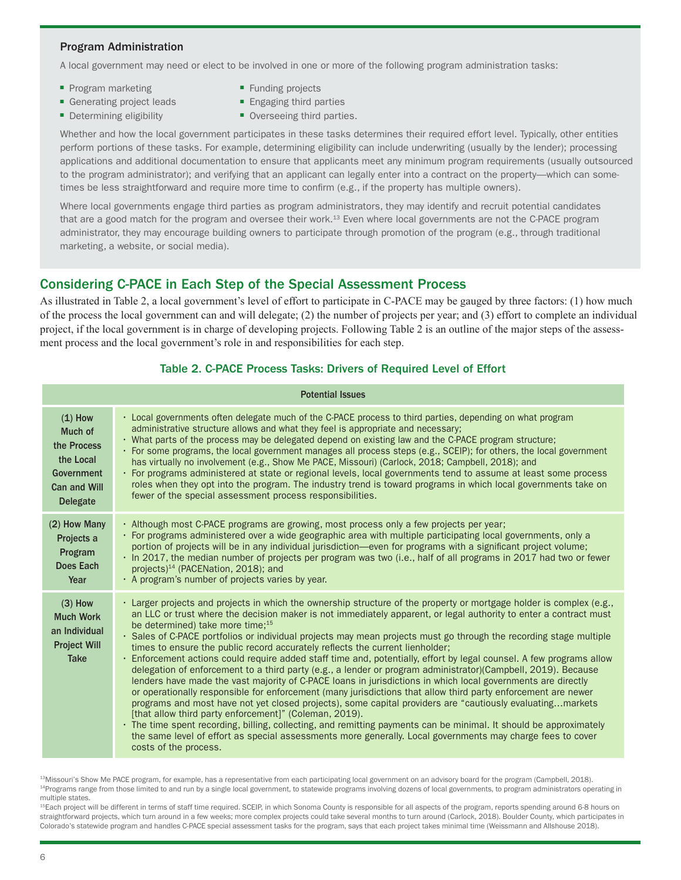#### Program Administration

A local government may need or elect to be involved in one or more of the following program administration tasks:

- Program marketing Funding projects
- Generating project leads Engaging third parties
- 
- 
- 
- Determining eligibility Overseeing third parties.

Whether and how the local government participates in these tasks determines their required effort level. Typically, other entities perform portions of these tasks. For example, determining eligibility can include underwriting (usually by the lender); processing applications and additional documentation to ensure that applicants meet any minimum program requirements (usually outsourced to the program administrator); and verifying that an applicant can legally enter into a contract on the property—which can sometimes be less straightforward and require more time to confirm (e.g., if the property has multiple owners).

Where local governments engage third parties as program administrators, they may identify and recruit potential candidates that are a good match for the program and oversee their work.<sup>13</sup> Even where local governments are not the C-PACE program administrator, they may encourage building owners to participate through promotion of the program (e.g., through traditional marketing, a website, or social media).

## Considering C-PACE in Each Step of the Special Assessment Process

As illustrated in Table 2, a local government's level of effort to participate in C-PACE may be gauged by three factors: (1) how much of the process the local government can and will delegate; (2) the number of projects per year; and (3) effort to complete an individual project, if the local government is in charge of developing projects. Following Table 2 is an outline of the major steps of the assessment process and the local government's role in and responsibilities for each step.

#### Table 2. C-PACE Process Tasks: Drivers of Required Level of Effort

| <b>Potential Issues</b>                                                                                  |                                                                                                                                                                                                                                                                                                                                                                                                                                                                                                                                                                                                                                                                                                                                                                                                                                                                                                                                                                                                                                                                                                                                                                                                                                                                                                                                                                                                                |
|----------------------------------------------------------------------------------------------------------|----------------------------------------------------------------------------------------------------------------------------------------------------------------------------------------------------------------------------------------------------------------------------------------------------------------------------------------------------------------------------------------------------------------------------------------------------------------------------------------------------------------------------------------------------------------------------------------------------------------------------------------------------------------------------------------------------------------------------------------------------------------------------------------------------------------------------------------------------------------------------------------------------------------------------------------------------------------------------------------------------------------------------------------------------------------------------------------------------------------------------------------------------------------------------------------------------------------------------------------------------------------------------------------------------------------------------------------------------------------------------------------------------------------|
| $(1)$ How<br>Much of<br>the Process<br>the Local<br>Government<br><b>Can and Will</b><br><b>Delegate</b> | • Local governments often delegate much of the C-PACE process to third parties, depending on what program<br>administrative structure allows and what they feel is appropriate and necessary;<br>. What parts of the process may be delegated depend on existing law and the C-PACE program structure;<br>• For some programs, the local government manages all process steps (e.g., SCEIP); for others, the local government<br>has virtually no involvement (e.g., Show Me PACE, Missouri) (Carlock, 2018; Campbell, 2018); and<br>· For programs administered at state or regional levels, local governments tend to assume at least some process<br>roles when they opt into the program. The industry trend is toward programs in which local governments take on<br>fewer of the special assessment process responsibilities.                                                                                                                                                                                                                                                                                                                                                                                                                                                                                                                                                                            |
| (2) How Many<br>Projects a<br>Program<br><b>Does Each</b><br>Year                                        | · Although most C-PACE programs are growing, most process only a few projects per year;<br>• For programs administered over a wide geographic area with multiple participating local governments, only a<br>portion of projects will be in any individual jurisdiction—even for programs with a significant project volume;<br>In 2017, the median number of projects per program was two (i.e., half of all programs in 2017 had two or fewer<br>projects) <sup>14</sup> (PACENation, 2018); and<br>· A program's number of projects varies by year.                                                                                                                                                                                                                                                                                                                                                                                                                                                                                                                                                                                                                                                                                                                                                                                                                                                          |
| $(3)$ How<br><b>Much Work</b><br>an Individual<br><b>Project Will</b><br><b>Take</b>                     | . Larger projects and projects in which the ownership structure of the property or mortgage holder is complex (e.g.,<br>an LLC or trust where the decision maker is not immediately apparent, or legal authority to enter a contract must<br>be determined) take more time; <sup>15</sup><br>· Sales of C-PACE portfolios or individual projects may mean projects must go through the recording stage multiple<br>times to ensure the public record accurately reflects the current lienholder;<br>• Enforcement actions could require added staff time and, potentially, effort by legal counsel. A few programs allow<br>delegation of enforcement to a third party (e.g., a lender or program administrator)(Campbell, 2019). Because<br>lenders have made the vast majority of C-PACE loans in jurisdictions in which local governments are directly<br>or operationally responsible for enforcement (many jurisdictions that allow third party enforcement are newer<br>programs and most have not yet closed projects), some capital providers are "cautiously evaluatingmarkets<br>[that allow third party enforcement]" (Coleman, 2019).<br>• The time spent recording, billing, collecting, and remitting payments can be minimal. It should be approximately<br>the same level of effort as special assessments more generally. Local governments may charge fees to cover<br>costs of the process. |

<sup>13</sup>Missouri's Show Me PACE program, for example, has a representative from each participating local government on an advisory board for the program (Campbell, 2018). <sup>14</sup>Programs range from those limited to and run by a single local government, to statewide programs involving dozens of local governments, to program administrators operating in multiple states.

<sup>15</sup>Each project will be different in terms of staff time required. SCEIP, in which Sonoma County is responsible for all aspects of the program, reports spending around 6-8 hours on straightforward projects, which turn around in a few weeks; more complex projects could take several months to turn around (Carlock, 2018). Boulder County, which participates in Colorado's statewide program and handles C-PACE special assessment tasks for the program, says that each project takes minimal time (Weissmann and Allshouse 2018).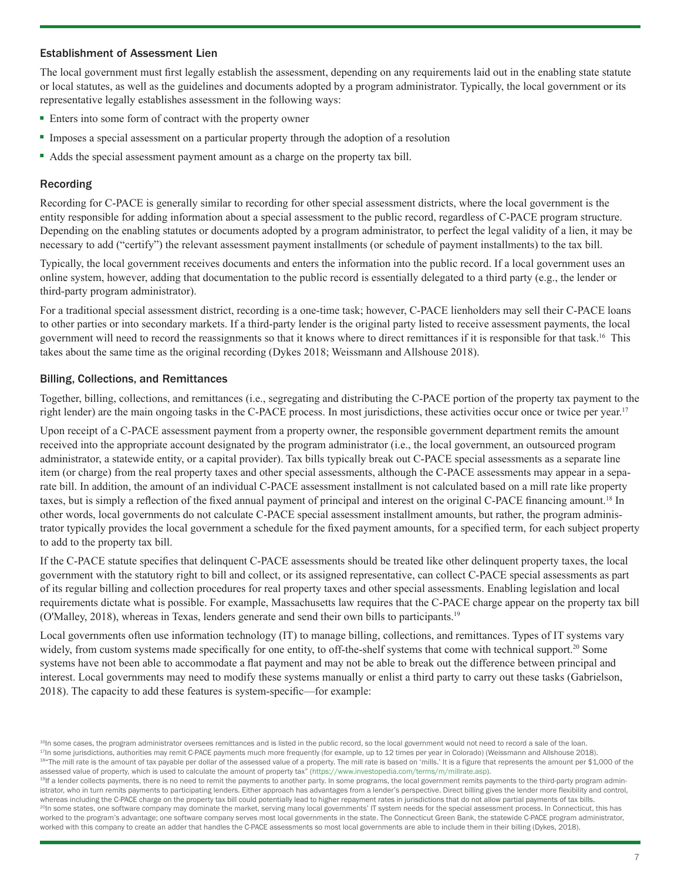#### Establishment of Assessment Lien

The local government must first legally establish the assessment, depending on any requirements laid out in the enabling state statute or local statutes, as well as the guidelines and documents adopted by a program administrator. Typically, the local government or its representative legally establishes assessment in the following ways:

- Enters into some form of contract with the property owner
- Imposes a special assessment on a particular property through the adoption of a resolution
- Adds the special assessment payment amount as a charge on the property tax bill.

#### Recording

Recording for C-PACE is generally similar to recording for other special assessment districts, where the local government is the entity responsible for adding information about a special assessment to the public record, regardless of C-PACE program structure. Depending on the enabling statutes or documents adopted by a program administrator, to perfect the legal validity of a lien, it may be necessary to add ("certify") the relevant assessment payment installments (or schedule of payment installments) to the tax bill.

Typically, the local government receives documents and enters the information into the public record. If a local government uses an online system, however, adding that documentation to the public record is essentially delegated to a third party (e.g., the lender or third-party program administrator).

For a traditional special assessment district, recording is a one-time task; however, C-PACE lienholders may sell their C-PACE loans to other parties or into secondary markets. If a third-party lender is the original party listed to receive assessment payments, the local government will need to record the reassignments so that it knows where to direct remittances if it is responsible for that task.16 This takes about the same time as the original recording (Dykes 2018; Weissmann and Allshouse 2018).

#### Billing, Collections, and Remittances

Together, billing, collections, and remittances (i.e., segregating and distributing the C-PACE portion of the property tax payment to the right lender) are the main ongoing tasks in the C-PACE process. In most jurisdictions, these activities occur once or twice per year.<sup>17</sup>

Upon receipt of a C-PACE assessment payment from a property owner, the responsible government department remits the amount received into the appropriate account designated by the program administrator (i.e., the local government, an outsourced program administrator, a statewide entity, or a capital provider). Tax bills typically break out C-PACE special assessments as a separate line item (or charge) from the real property taxes and other special assessments, although the C-PACE assessments may appear in a separate bill. In addition, the amount of an individual C-PACE assessment installment is not calculated based on a mill rate like property taxes, but is simply a reflection of the fixed annual payment of principal and interest on the original C-PACE financing amount.18 In other words, local governments do not calculate C-PACE special assessment installment amounts, but rather, the program administrator typically provides the local government a schedule for the fixed payment amounts, for a specified term, for each subject property to add to the property tax bill.

If the C-PACE statute specifies that delinquent C-PACE assessments should be treated like other delinquent property taxes, the local government with the statutory right to bill and collect, or its assigned representative, can collect C-PACE special assessments as part of its regular billing and collection procedures for real property taxes and other special assessments. Enabling legislation and local requirements dictate what is possible. For example, Massachusetts law requires that the C-PACE charge appear on the property tax bill (O'Malley, 2018), whereas in Texas, lenders generate and send their own bills to participants.19

Local governments often use information technology (IT) to manage billing, collections, and remittances. Types of IT systems vary widely, from custom systems made specifically for one entity, to off-the-shelf systems that come with technical support.<sup>20</sup> Some systems have not been able to accommodate a flat payment and may not be able to break out the difference between principal and interest. Local governments may need to modify these systems manually or enlist a third party to carry out these tasks (Gabrielson, 2018). The capacity to add these features is system-specific—for example:

<sup>&</sup>lt;sup>16</sup>In some cases, the program administrator oversees remittances and is listed in the public record, so the local government would not need to record a sale of the loan. 17In some jurisdictions, authorities may remit C-PACE payments much more frequently (for example, up to 12 times per year in Colorado) (Weissmann and Allshouse 2018). 18"The mill rate is the amount of tax payable per dollar of the assessed value of a property. The mill rate is based on 'mills.' It is a figure that represents the amount per \$1,000 of the assessed value of property, which is used to calculate the amount of property tax" ([https://www.investopedia.com/terms/m/millrate.asp\)](https://www.investopedia.com/terms/m/millrate.asp).

<sup>&</sup>lt;sup>19</sup>If a lender collects payments, there is no need to remit the payments to another party. In some programs, the local government remits payments to the third-party program administrator, who in turn remits payments to participating lenders. Either approach has advantages from a lender's perspective. Direct billing gives the lender more flexibility and control, whereas including the C-PACE charge on the property tax bill could potentially lead to higher repayment rates in jurisdictions that do not allow partial payments of tax bills. <sup>20</sup>In some states, one software company may dominate the market, serving many local governments' IT system needs for the special assessment process. In Connecticut, this has worked to the program's advantage; one software company serves most local governments in the state. The Connecticut Green Bank, the statewide C-PACE program administrator, worked with this company to create an adder that handles the C-PACE assessments so most local governments are able to include them in their billing (Dykes, 2018).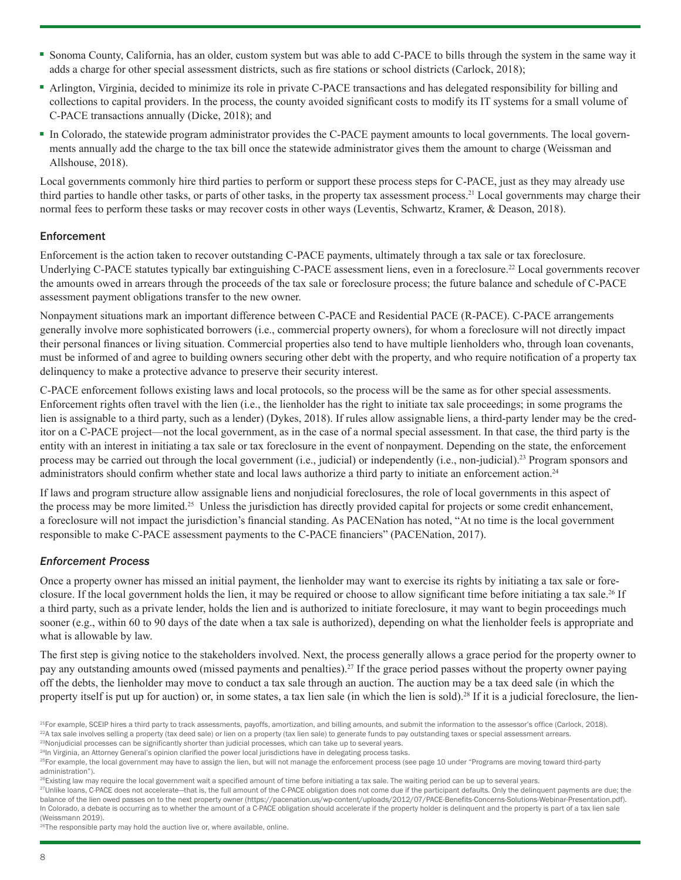- Sonoma County, California, has an older, custom system but was able to add C-PACE to bills through the system in the same way it adds a charge for other special assessment districts, such as fire stations or school districts (Carlock, 2018);
- Arlington, Virginia, decided to minimize its role in private C-PACE transactions and has delegated responsibility for billing and collections to capital providers. In the process, the county avoided significant costs to modify its IT systems for a small volume of C-PACE transactions annually (Dicke, 2018); and
- In Colorado, the statewide program administrator provides the C-PACE payment amounts to local governments. The local governments annually add the charge to the tax bill once the statewide administrator gives them the amount to charge (Weissman and Allshouse, 2018).

Local governments commonly hire third parties to perform or support these process steps for C-PACE, just as they may already use third parties to handle other tasks, or parts of other tasks, in the property tax assessment process.<sup>21</sup> Local governments may charge their normal fees to perform these tasks or may recover costs in other ways (Leventis, Schwartz, Kramer, & Deason, 2018).

#### Enforcement

Enforcement is the action taken to recover outstanding C-PACE payments, ultimately through a tax sale or tax foreclosure. Underlying C-PACE statutes typically bar extinguishing C-PACE assessment liens, even in a foreclosure.<sup>22</sup> Local governments recover the amounts owed in arrears through the proceeds of the tax sale or foreclosure process; the future balance and schedule of C-PACE assessment payment obligations transfer to the new owner.

Nonpayment situations mark an important difference between C-PACE and Residential PACE (R-PACE). C-PACE arrangements generally involve more sophisticated borrowers (i.e., commercial property owners), for whom a foreclosure will not directly impact their personal finances or living situation. Commercial properties also tend to have multiple lienholders who, through loan covenants, must be informed of and agree to building owners securing other debt with the property, and who require notification of a property tax delinquency to make a protective advance to preserve their security interest.

C-PACE enforcement follows existing laws and local protocols, so the process will be the same as for other special assessments. Enforcement rights often travel with the lien (i.e., the lienholder has the right to initiate tax sale proceedings; in some programs the lien is assignable to a third party, such as a lender) (Dykes, 2018). If rules allow assignable liens, a third-party lender may be the creditor on a C-PACE project—not the local government, as in the case of a normal special assessment. In that case, the third party is the entity with an interest in initiating a tax sale or tax foreclosure in the event of nonpayment. Depending on the state, the enforcement process may be carried out through the local government (i.e., judicial) or independently (i.e., non-judicial).23 Program sponsors and administrators should confirm whether state and local laws authorize a third party to initiate an enforcement action.<sup>24</sup>

If laws and program structure allow assignable liens and nonjudicial foreclosures, the role of local governments in this aspect of the process may be more limited.25 Unless the jurisdiction has directly provided capital for projects or some credit enhancement, a foreclosure will not impact the jurisdiction's financial standing. As PACENation has noted, "At no time is the local government responsible to make C-PACE assessment payments to the C-PACE financiers" (PACENation, 2017).

#### *Enforcement Process*

Once a property owner has missed an initial payment, the lienholder may want to exercise its rights by initiating a tax sale or foreclosure. If the local government holds the lien, it may be required or choose to allow significant time before initiating a tax sale.26 If a third party, such as a private lender, holds the lien and is authorized to initiate foreclosure, it may want to begin proceedings much sooner (e.g., within 60 to 90 days of the date when a tax sale is authorized), depending on what the lienholder feels is appropriate and what is allowable by law.

The first step is giving notice to the stakeholders involved. Next, the process generally allows a grace period for the property owner to pay any outstanding amounts owed (missed payments and penalties).27 If the grace period passes without the property owner paying off the debts, the lienholder may move to conduct a tax sale through an auction. The auction may be a tax deed sale (in which the property itself is put up for auction) or, in some states, a tax lien sale (in which the lien is sold).<sup>28</sup> If it is a judicial foreclosure, the lien-

<sup>26</sup>The responsible party may hold the auction live or, where available, online.

 $^{21}$ For example, SCEIP hires a third party to track assessments, payoffs, amortization, and billing amounts, and submit the information to the assessor's office (Carlock, 2018).  $^{22}$ A tax sale involves selling a property (tax deed sale) or lien on a property (tax lien sale) to generate funds to pay outstanding taxes or special assessment arrears. 23Nonjudicial processes can be significantly shorter than judicial processes, which can take up to several years.

<sup>&</sup>lt;sup>24</sup>In Virginia, an Attorney General's opinion clarified the power local jurisdictions have in delegating process tasks.

<sup>&</sup>lt;sup>25</sup>For example, the local government may have to assign the lien, but will not manage the enforcement process (see page 10 under "Programs are moving toward third-party administration").

<sup>&</sup>lt;sup>26</sup>Existing law may require the local government wait a specified amount of time before initiating a tax sale. The waiting period can be up to several years.

<sup>27</sup>Unlike loans, C-PACE does not accelerate—that is, the full amount of the C-PACE obligation does not come due if the participant defaults. Only the delinquent payments are due; the balance of the lien owed passes on to the next property owner (https://pacenation.us/wp-content/uploads/2012/07/PACE-Benefits-Concerns-Solutions-Webinar-Presentation.pdf). In Colorado, a debate is occurring as to whether the amount of a C-PACE obligation should accelerate if the property holder is delinquent and the property is part of a tax lien sale (Weissmann 2019).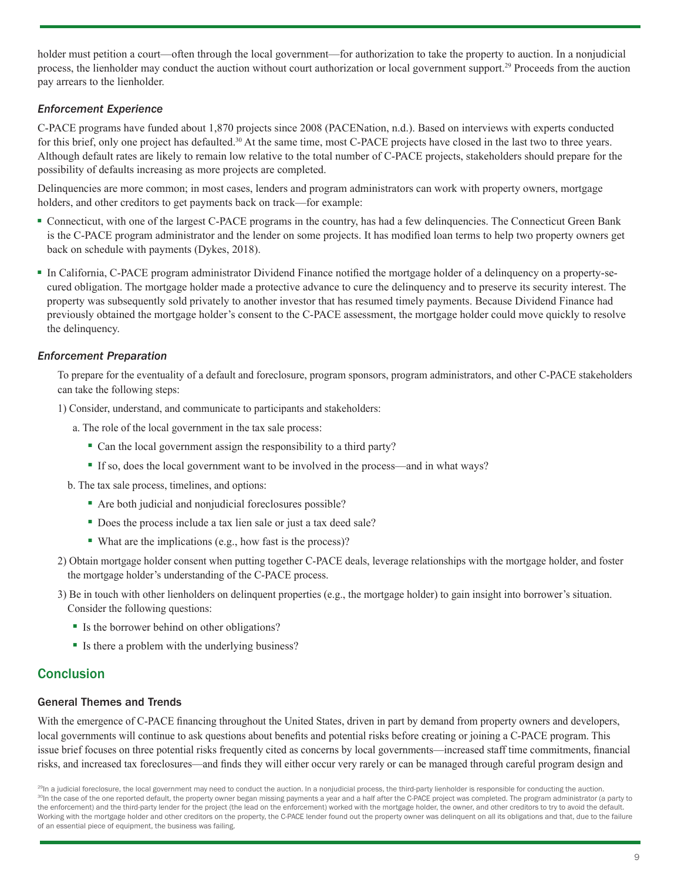holder must petition a court—often through the local government—for authorization to take the property to auction. In a nonjudicial process, the lienholder may conduct the auction without court authorization or local government support.<sup>29</sup> Proceeds from the auction pay arrears to the lienholder.

#### *Enforcement Experience*

C-PACE programs have funded about 1,870 projects since 2008 (PACENation, n.d.). Based on interviews with experts conducted for this brief, only one project has defaulted.<sup>30</sup> At the same time, most C-PACE projects have closed in the last two to three years. Although default rates are likely to remain low relative to the total number of C-PACE projects, stakeholders should prepare for the possibility of defaults increasing as more projects are completed.

Delinquencies are more common; in most cases, lenders and program administrators can work with property owners, mortgage holders, and other creditors to get payments back on track—for example:

- Connecticut, with one of the largest C-PACE programs in the country, has had a few delinquencies. The Connecticut Green Bank is the C-PACE program administrator and the lender on some projects. It has modified loan terms to help two property owners get back on schedule with payments (Dykes, 2018).
- In California, C-PACE program administrator Dividend Finance notified the mortgage holder of a delinquency on a property-secured obligation. The mortgage holder made a protective advance to cure the delinquency and to preserve its security interest. The property was subsequently sold privately to another investor that has resumed timely payments. Because Dividend Finance had previously obtained the mortgage holder's consent to the C-PACE assessment, the mortgage holder could move quickly to resolve the delinquency.

#### *Enforcement Preparation*

To prepare for the eventuality of a default and foreclosure, program sponsors, program administrators, and other C-PACE stakeholders can take the following steps:

1) Consider, understand, and communicate to participants and stakeholders:

- a. The role of the local government in the tax sale process:
	- Can the local government assign the responsibility to a third party?
	- If so, does the local government want to be involved in the process—and in what ways?
- b. The tax sale process, timelines, and options:
	- Are both judicial and nonjudicial foreclosures possible?
	- Does the process include a tax lien sale or just a tax deed sale?
	- What are the implications (e.g., how fast is the process)?
- 2) Obtain mortgage holder consent when putting together C-PACE deals, leverage relationships with the mortgage holder, and foster the mortgage holder's understanding of the C-PACE process.
- 3) Be in touch with other lienholders on delinquent properties (e.g., the mortgage holder) to gain insight into borrower's situation. Consider the following questions:
	- Is the borrower behind on other obligations?
	- Is there a problem with the underlying business?

## **Conclusion**

#### General Themes and Trends

With the emergence of C-PACE financing throughout the United States, driven in part by demand from property owners and developers, local governments will continue to ask questions about benefits and potential risks before creating or joining a C-PACE program. This issue brief focuses on three potential risks frequently cited as concerns by local governments—increased staff time commitments, financial risks, and increased tax foreclosures—and finds they will either occur very rarely or can be managed through careful program design and

<sup>&</sup>lt;sup>29</sup>In a judicial foreclosure, the local government may need to conduct the auction. In a nonjudicial process, the third-party lienholder is responsible for conducting the auction. <sup>30</sup>In the case of the one reported default, the property owner began missing payments a year and a half after the C-PACE project was completed. The program administrator (a party to the enforcement) and the third-party lender for the project (the lead on the enforcement) worked with the mortgage holder, the owner, and other creditors to try to avoid the default. Working with the mortgage holder and other creditors on the property, the C-PACE lender found out the property owner was delinquent on all its obligations and that, due to the failure of an essential piece of equipment, the business was failing.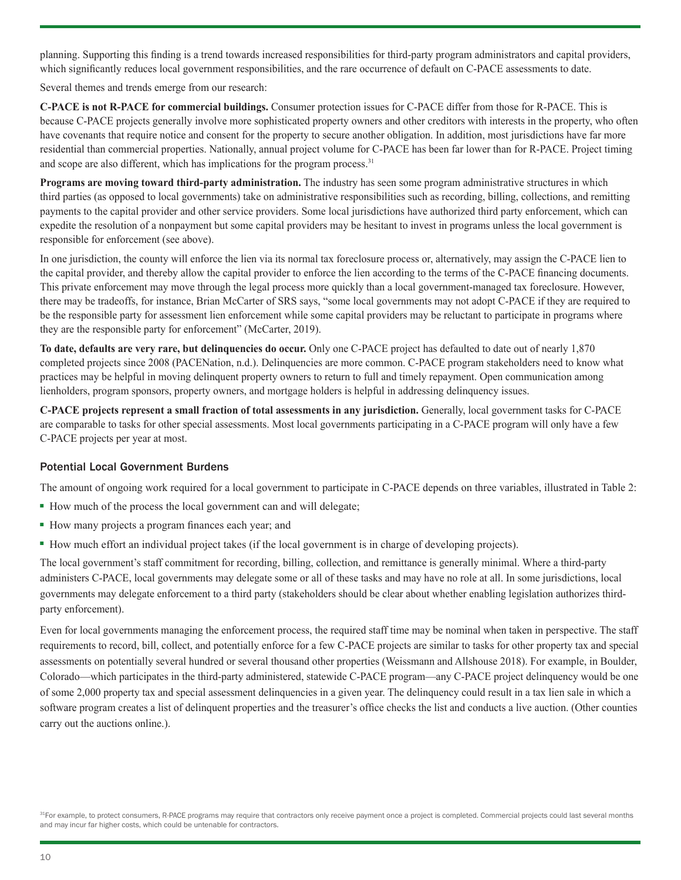planning. Supporting this finding is a trend towards increased responsibilities for third-party program administrators and capital providers, which significantly reduces local government responsibilities, and the rare occurrence of default on C-PACE assessments to date.

Several themes and trends emerge from our research:

**C-PACE is not R-PACE for commercial buildings.** Consumer protection issues for C-PACE differ from those for R-PACE. This is because C-PACE projects generally involve more sophisticated property owners and other creditors with interests in the property, who often have covenants that require notice and consent for the property to secure another obligation. In addition, most jurisdictions have far more residential than commercial properties. Nationally, annual project volume for C-PACE has been far lower than for R-PACE. Project timing and scope are also different, which has implications for the program process.<sup>31</sup>

**Programs are moving toward third-party administration.** The industry has seen some program administrative structures in which third parties (as opposed to local governments) take on administrative responsibilities such as recording, billing, collections, and remitting payments to the capital provider and other service providers. Some local jurisdictions have authorized third party enforcement, which can expedite the resolution of a nonpayment but some capital providers may be hesitant to invest in programs unless the local government is responsible for enforcement (see above).

In one jurisdiction, the county will enforce the lien via its normal tax foreclosure process or, alternatively, may assign the C-PACE lien to the capital provider, and thereby allow the capital provider to enforce the lien according to the terms of the C-PACE financing documents. This private enforcement may move through the legal process more quickly than a local government-managed tax foreclosure. However, there may be tradeoffs, for instance, Brian McCarter of SRS says, "some local governments may not adopt C-PACE if they are required to be the responsible party for assessment lien enforcement while some capital providers may be reluctant to participate in programs where they are the responsible party for enforcement" (McCarter, 2019).

**To date, defaults are very rare, but delinquencies do occur.** Only one C-PACE project has defaulted to date out of nearly 1,870 completed projects since 2008 (PACENation, n.d.). Delinquencies are more common. C-PACE program stakeholders need to know what practices may be helpful in moving delinquent property owners to return to full and timely repayment. Open communication among lienholders, program sponsors, property owners, and mortgage holders is helpful in addressing delinquency issues.

**C-PACE projects represent a small fraction of total assessments in any jurisdiction.** Generally, local government tasks for C-PACE are comparable to tasks for other special assessments. Most local governments participating in a C-PACE program will only have a few C-PACE projects per year at most.

#### Potential Local Government Burdens

The amount of ongoing work required for a local government to participate in C-PACE depends on three variables, illustrated in Table 2:

- How much of the process the local government can and will delegate;
- How many projects a program finances each year; and
- How much effort an individual project takes (if the local government is in charge of developing projects).

The local government's staff commitment for recording, billing, collection, and remittance is generally minimal. Where a third-party administers C-PACE, local governments may delegate some or all of these tasks and may have no role at all. In some jurisdictions, local governments may delegate enforcement to a third party (stakeholders should be clear about whether enabling legislation authorizes thirdparty enforcement).

Even for local governments managing the enforcement process, the required staff time may be nominal when taken in perspective. The staff requirements to record, bill, collect, and potentially enforce for a few C-PACE projects are similar to tasks for other property tax and special assessments on potentially several hundred or several thousand other properties (Weissmann and Allshouse 2018). For example, in Boulder, Colorado—which participates in the third-party administered, statewide C-PACE program—any C-PACE project delinquency would be one of some 2,000 property tax and special assessment delinquencies in a given year. The delinquency could result in a tax lien sale in which a software program creates a list of delinquent properties and the treasurer's office checks the list and conducts a live auction. (Other counties carry out the auctions online.).

31For example, to protect consumers, R-PACE programs may require that contractors only receive payment once a project is completed. Commercial projects could last several months and may incur far higher costs, which could be untenable for contractors.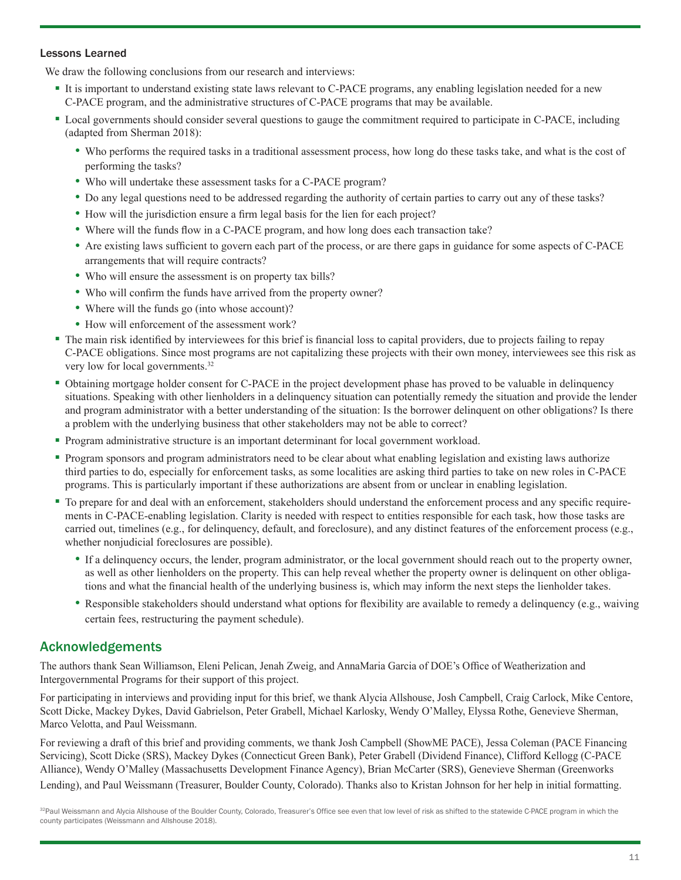#### Lessons Learned

We draw the following conclusions from our research and interviews:

- It is important to understand existing state laws relevant to C-PACE programs, any enabling legislation needed for a new C-PACE program, and the administrative structures of C-PACE programs that may be available.
- Local governments should consider several questions to gauge the commitment required to participate in C-PACE, including (adapted from Sherman 2018):
	- Who performs the required tasks in a traditional assessment process, how long do these tasks take, and what is the cost of performing the tasks?
	- Who will undertake these assessment tasks for a C-PACE program?
	- Do any legal questions need to be addressed regarding the authority of certain parties to carry out any of these tasks?
	- How will the jurisdiction ensure a firm legal basis for the lien for each project?
	- Where will the funds flow in a C-PACE program, and how long does each transaction take?
	- Are existing laws sufficient to govern each part of the process, or are there gaps in guidance for some aspects of C-PACE arrangements that will require contracts?
	- Who will ensure the assessment is on property tax bills?
	- Who will confirm the funds have arrived from the property owner?
	- Where will the funds go (into whose account)?
	- How will enforcement of the assessment work?
- The main risk identified by interviewees for this brief is financial loss to capital providers, due to projects failing to repay C-PACE obligations. Since most programs are not capitalizing these projects with their own money, interviewees see this risk as very low for local governments.<sup>32</sup>
- Obtaining mortgage holder consent for C-PACE in the project development phase has proved to be valuable in delinquency situations. Speaking with other lienholders in a delinquency situation can potentially remedy the situation and provide the lender and program administrator with a better understanding of the situation: Is the borrower delinquent on other obligations? Is there a problem with the underlying business that other stakeholders may not be able to correct?
- Program administrative structure is an important determinant for local government workload.
- Program sponsors and program administrators need to be clear about what enabling legislation and existing laws authorize third parties to do, especially for enforcement tasks, as some localities are asking third parties to take on new roles in C-PACE programs. This is particularly important if these authorizations are absent from or unclear in enabling legislation.
- To prepare for and deal with an enforcement, stakeholders should understand the enforcement process and any specific requirements in C-PACE-enabling legislation. Clarity is needed with respect to entities responsible for each task, how those tasks are carried out, timelines (e.g., for delinquency, default, and foreclosure), and any distinct features of the enforcement process (e.g., whether nonjudicial foreclosures are possible).
	- If a delinquency occurs, the lender, program administrator, or the local government should reach out to the property owner, as well as other lienholders on the property. This can help reveal whether the property owner is delinquent on other obligations and what the financial health of the underlying business is, which may inform the next steps the lienholder takes.
	- Responsible stakeholders should understand what options for flexibility are available to remedy a delinquency (e.g., waiving certain fees, restructuring the payment schedule).

## Acknowledgements

The authors thank Sean Williamson, Eleni Pelican, Jenah Zweig, and AnnaMaria Garcia of DOE's Office of Weatherization and Intergovernmental Programs for their support of this project.

For participating in interviews and providing input for this brief, we thank Alycia Allshouse, Josh Campbell, Craig Carlock, Mike Centore, Scott Dicke, Mackey Dykes, David Gabrielson, Peter Grabell, Michael Karlosky, Wendy O'Malley, Elyssa Rothe, Genevieve Sherman, Marco Velotta, and Paul Weissmann.

For reviewing a draft of this brief and providing comments, we thank Josh Campbell (ShowME PACE), Jessa Coleman (PACE Financing Servicing), Scott Dicke (SRS), Mackey Dykes (Connecticut Green Bank), Peter Grabell (Dividend Finance), Clifford Kellogg (C-PACE Alliance), Wendy O'Malley (Massachusetts Development Finance Agency), Brian McCarter (SRS), Genevieve Sherman (Greenworks Lending), and Paul Weissmann (Treasurer, Boulder County, Colorado). Thanks also to Kristan Johnson for her help in initial formatting.

32Paul Weissmann and Alycia Allshouse of the Boulder County, Colorado, Treasurer's Office see even that low level of risk as shifted to the statewide C-PACE program in which the county participates (Weissmann and Allshouse 2018).